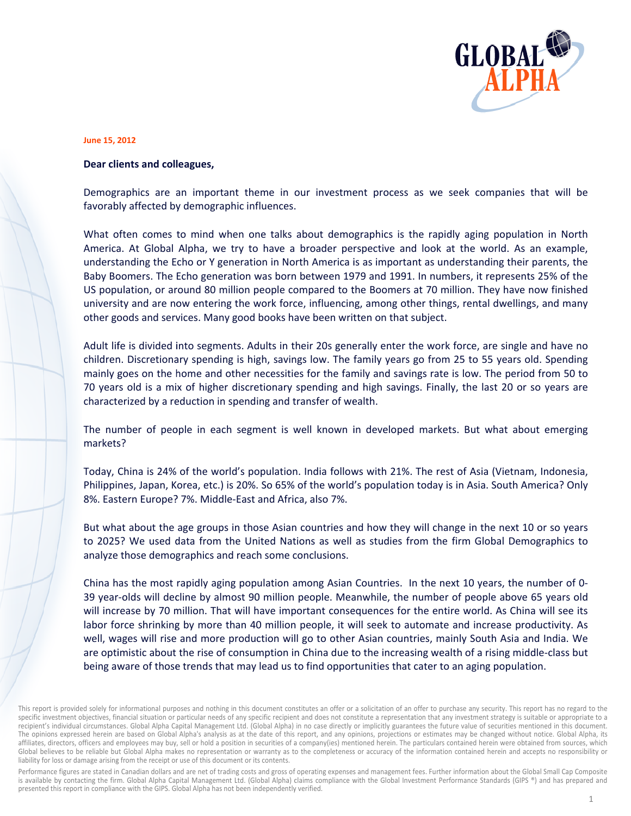

## **June 15, 2 2012**

## **Dear clients and colleagues,**

Demographics are an important theme in our investment process as we seek companies that will be favorably affected by demographic influences.

What often comes to mind when one talks about demographics is the rapidly aging population in North America. At Global Alpha, we try to have a broader perspective and look at the world. As an example, understanding the Echo or Y generation in North America is as important as understanding their parents, the Baby Boomers. The Echo generation was born between 1979 and 1991. In numbers, it represents 25% of the US population, or around 80 million people compared to the Boomers at 70 million. They have now finished university and are now entering the work force, influencing, among other things, rental dwellings, and many other goods and services. Many good books have been written on that subject.

Adult life is divided into segments. Adults in their 20s generally enter the work force, are single and have no children. Discretionary spending is high, savings low. The family years go from 25 to 55 years old. Spending mainly goes on the home and other necessities for the family and savings rate is low. The period from 50 to 70 years old is a mix of higher discretionary spending and high savings. Finally, the last 20 or so years are characterized by a reduction in spending and transfer of wealth.

The number of people in each segment is well known in developed markets. But what about emerging markets s?

Today, China is 24% of the world's population. India follows with 21%. The rest of Asia (Vietnam, Indonesia, Philippines, Japan, Korea, etc.) is 20%. So 65% of the world's population today is in Asia. South America? Only 8%. Eastern Europe? 7%. Middle-East and Africa, also 7%.

But what about the age groups in those Asian countries and how they will change in the next 10 or so years to 2025? We used data from the United Nations as well as studies from the firm Global Demographics to analyze those demographics and reach some conclusions.

China has the most rapidly aging population among Asian Countries. In the next 10 years, the number of 0-39 year-olds will decline by almost 90 million people. Meanwhile, the number of people above 65 years old will increase by 70 million. That will have important consequences for the entire world. As China will see its labor force shrinking by more than 40 million people, it will seek to automate and increase productivity. As well, wages will rise and more production will go to other Asian countries, mainly South Asia and India. We are optimistic about the rise of consumption in China due to the increasing wealth of a rising middle-class but being aware of those trends that may lead us to find opportunities that cater to an aging population.

Performance figures are stated in Canadian dollars and are net of trading costs and gross of operating expenses and management fees. Further information about the Global Small Cap Composite is available by contacting the firm. Global Alpha Capital Management Ltd. (Global Alpha) claims compliance with the Global Investment Performance Standards (GIPS ®) and has prepared and presented this report in compliance with the GIPS. Global Alpha has not been independently verified.

This report is provided solely for informational purposes and nothing in this document constitutes an offer or a solicitation of an offer to purchase any security. This report has no regard to the specific investment objectives, financial situation or particular needs of any specific recipient and does not constitute a representation that any investment strategy is suitable or appropriate to a recipient's individual circumstances. Global Alpha Capital Management Ltd. (Global Alpha) in no case directly or implicitly guarantees the future value of securities mentioned in this document. The opinions expressed herein are based on Global Alpha's analysis as at the date of this report, and any opinions, projections or estimates may be changed without notice. Global Alpha, its affiliates, directors, officers and employees may buy, sell or hold a position in securities of a company(ies) mentioned herein. The particulars contained herein were obtained from sources, which Global believes to be reliable but Global Alpha makes no representation or warranty as to the completeness or accuracy of the information contained herein and accepts no responsibility or liability for loss or damage arising from the receipt or use of this document or its contents.